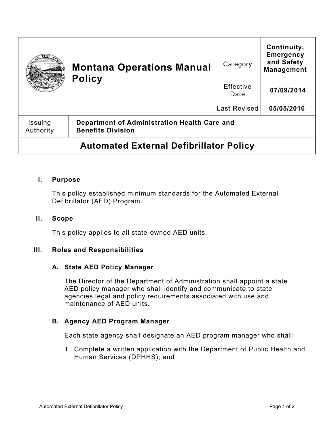|                                                | <b>Montana Operations Manual</b><br><b>Policy</b>                        | Category            | Continuity,<br><b>Emergency</b><br>and Safety<br><b>Management</b> |
|------------------------------------------------|--------------------------------------------------------------------------|---------------------|--------------------------------------------------------------------|
|                                                |                                                                          | Effective<br>Date   | 07/09/2014                                                         |
|                                                |                                                                          | <b>Last Revised</b> | 05/05/2016                                                         |
| Issuing<br>Authority                           | Department of Administration Health Care and<br><b>Benefits Division</b> |                     |                                                                    |
| <b>Automated External Defibrillator Policy</b> |                                                                          |                     |                                                                    |

# **I. Purpose**

This policy established minimum standards for the Automated External Defibrillator (AED) Program.

### **II. Scope**

This policy applies to all state-owned AED units.

## **III. Roles and Responsibilities**

#### **A. State AED Policy Manager**

The Director of the Department of Administration shall appoint a state AED policy manager who shall identify and communicate to state agencies legal and policy requirements associated with use and maintenance of AED units.

# **B. Agency AED Program Manager**

Each state agency shall designate an AED program manager who shall:

1. Complete a written application with the Department of Public Health and Human Services (DPHHS); and